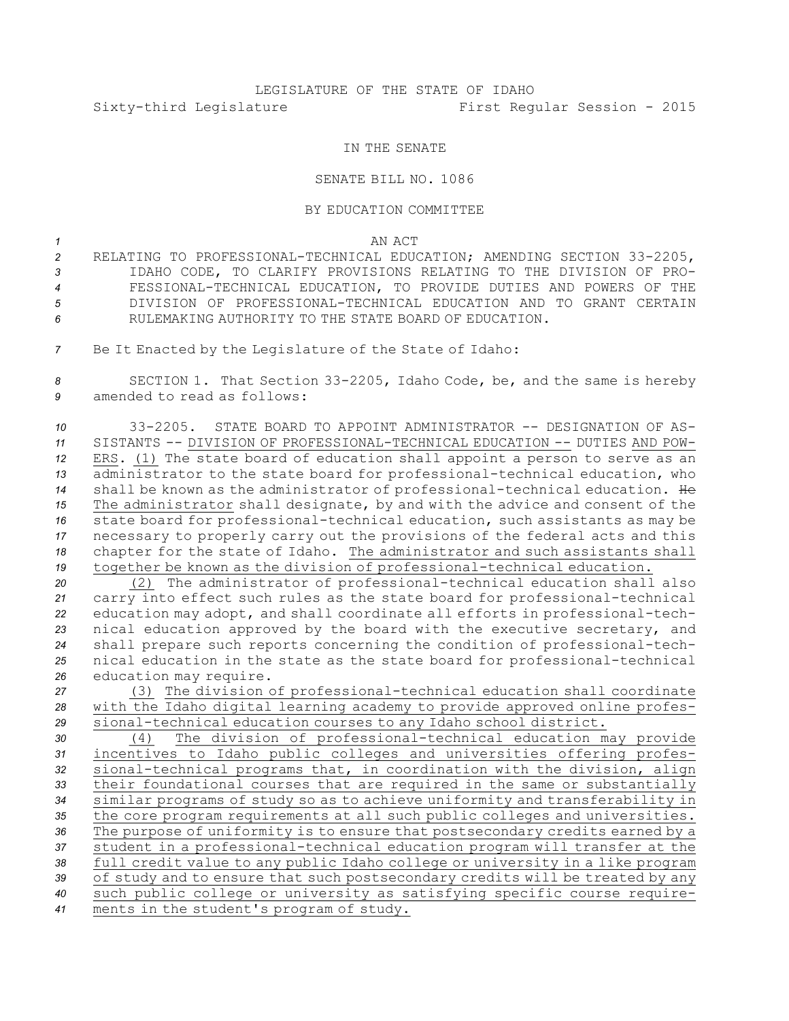## LEGISLATURE OF THE STATE OF IDAHO Sixty-third Legislature First Regular Session - 2015

## IN THE SENATE

## SENATE BILL NO. 1086

## BY EDUCATION COMMITTEE

*1* AN ACT

- *<sup>2</sup>* RELATING TO PROFESSIONAL-TECHNICAL EDUCATION; AMENDING SECTION 33-2205, *3* IDAHO CODE, TO CLARIFY PROVISIONS RELATING TO THE DIVISION OF PRO-*4* FESSIONAL-TECHNICAL EDUCATION, TO PROVIDE DUTIES AND POWERS OF THE *5* DIVISION OF PROFESSIONAL-TECHNICAL EDUCATION AND TO GRANT CERTAIN *6* RULEMAKING AUTHORITY TO THE STATE BOARD OF EDUCATION.
- *<sup>7</sup>* Be It Enacted by the Legislature of the State of Idaho:

*<sup>8</sup>* SECTION 1. That Section 33-2205, Idaho Code, be, and the same is hereby *9* amended to read as follows:

 33-2205. STATE BOARD TO APPOINT ADMINISTRATOR -- DESIGNATION OF AS- SISTANTS -- DIVISION OF PROFESSIONAL-TECHNICAL EDUCATION -- DUTIES AND POW- ERS. (1) The state board of education shall appoint <sup>a</sup> person to serve as an administrator to the state board for professional-technical education, who shall be known as the administrator of professional-technical education. He The administrator shall designate, by and with the advice and consent of the state board for professional-technical education, such assistants as may be necessary to properly carry out the provisions of the federal acts and this chapter for the state of Idaho. The administrator and such assistants shall together be known as the division of professional-technical education.

 (2) The administrator of professional-technical education shall also carry into effect such rules as the state board for professional-technical education may adopt, and shall coordinate all efforts in professional-tech- nical education approved by the board with the executive secretary, and shall prepare such reports concerning the condition of professional-tech- nical education in the state as the state board for professional-technical education may require.

*<sup>27</sup>* (3) The division of professional-technical education shall coordinate *<sup>28</sup>* with the Idaho digital learning academy to provide approved online profes-*<sup>29</sup>* sional-technical education courses to any Idaho school district.

 (4) The division of professional-technical education may provide incentives to Idaho public colleges and universities offering profes- sional-technical programs that, in coordination with the division, align their foundational courses that are required in the same or substantially similar programs of study so as to achieve uniformity and transferability in 35 the core program requirements at all such public colleges and universities. The purpose of uniformity is to ensure that postsecondary credits earned by <sup>a</sup> student in <sup>a</sup> professional-technical education program will transfer at the full credit value to any public Idaho college or university in <sup>a</sup> like program of study and to ensure that such postsecondary credits will be treated by any such public college or university as satisfying specific course require-ments in the student's program of study.